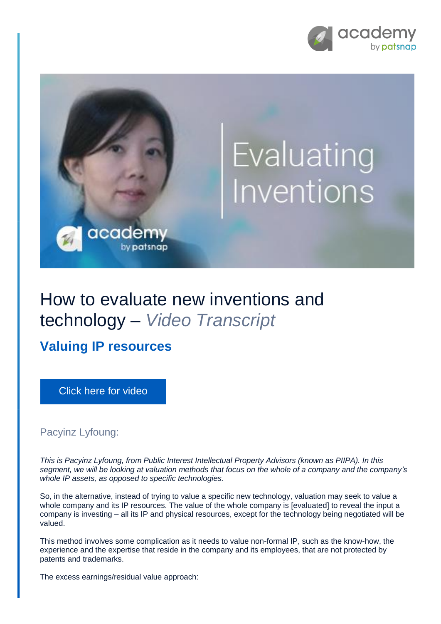



## How to evaluate new inventions and technology – *Video Transcript*

**Valuing IP resources**

[Click here for video](https://academy.patsnap.com/courses/5aa90c52a8103300142e12e2/units/5c7001dbc5b87f21d8a5ba3d#module-4)

Pacyinz Lyfoung:

*This is Pacyinz Lyfoung, from Public Interest Intellectual Property Advisors (known as PIIPA). In this segment, we will be looking at valuation methods that focus on the whole of a company and the company's whole IP assets, as opposed to specific technologies.*

So, in the alternative, instead of trying to value a specific new technology, valuation may seek to value a whole company and its IP resources. The value of the whole company is [evaluated] to reveal the input a company is investing – all its IP and physical resources, except for the technology being negotiated will be valued.

This method involves some complication as it needs to value non-formal IP, such as the know-how, the experience and the expertise that reside in the company and its employees, that are not protected by patents and trademarks.

The excess earnings/residual value approach: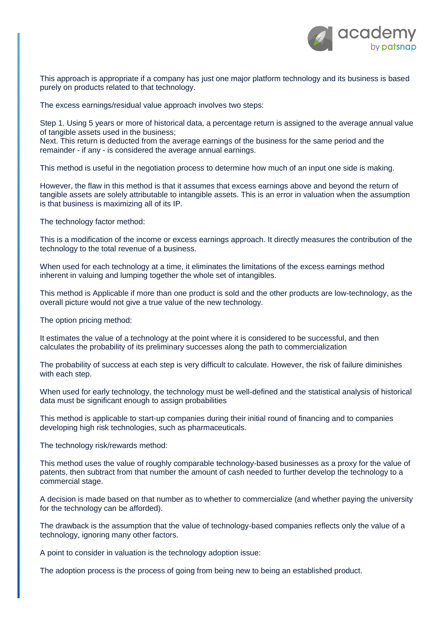

This approach is appropriate if a company has just one major platform technology and its business is based purely on products related to that technology.

The excess earnings/residual value approach involves two steps:

Step 1. Using 5 years or more of historical data, a percentage return is assigned to the average annual value of tangible assets used in the business;

Next. This return is deducted from the average earnings of the business for the same period and the remainder - if any - is considered the average annual earnings.

This method is useful in the negotiation process to determine how much of an input one side is making.

However, the flaw in this method is that it assumes that excess earnings above and beyond the return of tangible assets are solely attributable to intangible assets. This is an error in valuation when the assumption is that business is maximizing all of its IP.

The technology factor method:

This is a modification of the income or excess earnings approach. It directly measures the contribution of the technology to the total revenue of a business.

When used for each technology at a time, it eliminates the limitations of the excess earnings method inherent in valuing and lumping together the whole set of intangibles.

This method is Applicable if more than one product is sold and the other products are low-technology, as the overall picture would not give a true value of the new technology.

The option pricing method:

It estimates the value of a technology at the point where it is considered to be successful, and then calculates the probability of its preliminary successes along the path to commercialization

The probability of success at each step is very difficult to calculate. However, the risk of failure diminishes with each step.

When used for early technology, the technology must be well-defined and the statistical analysis of historical data must be significant enough to assign probabilities

This method is applicable to start-up companies during their initial round of financing and to companies developing high risk technologies, such as pharmaceuticals.

The technology risk/rewards method:

This method uses the value of roughly comparable technology-based businesses as a proxy for the value of patents, then subtract from that number the amount of cash needed to further develop the technology to a commercial stage.

A decision is made based on that number as to whether to commercialize (and whether paying the university for the technology can be afforded).

The drawback is the assumption that the value of technology-based companies reflects only the value of a technology, ignoring many other factors.

A point to consider in valuation is the technology adoption issue:

The adoption process is the process of going from being new to being an established product.